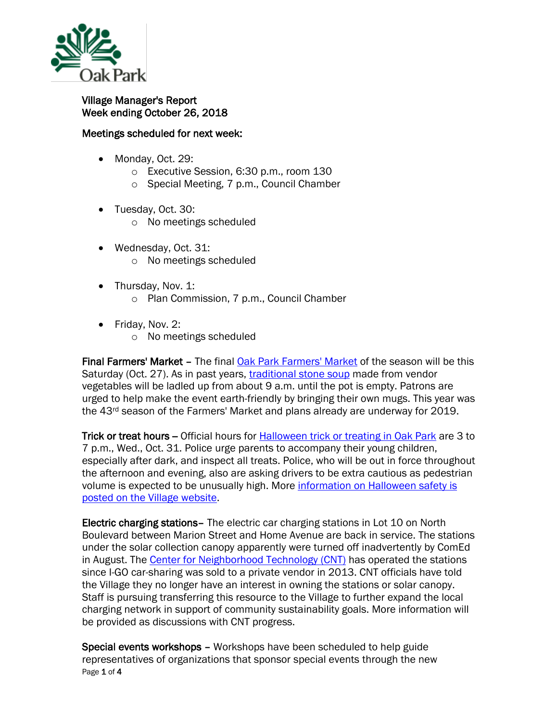

## Village Manager's Report Week ending October 26, 2018

## Meetings scheduled for next week:

- Monday, Oct. 29:
	- o Executive Session, 6:30 p.m., room 130
	- o Special Meeting, 7 p.m., Council Chamber
- Tuesday, Oct. 30:
	- o No meetings scheduled
- Wednesday, Oct. 31: o No meetings scheduled
- Thursday, Nov. 1: o Plan Commission, 7 p.m., Council Chamber
- Friday, Nov. 2:
	- o No meetings scheduled

Final Farmers' Market – The final [Oak Park Farmers' Market](http://www.oak-park.us/our-community/oak-park-farmers-market) of the season will be this Saturday (Oct. 27). As in past years, [traditional stone soup](https://www.oak-park.us/our-community/farmers-market/stone-soup-oak-park-farmers-market) made from vendor vegetables will be ladled up from about 9 a.m. until the pot is empty. Patrons are urged to help make the event earth-friendly by bringing their own mugs. This year was the  $43<sup>rd</sup>$  season of the Farmers' Market and plans already are underway for 2019.

Trick or treat hours -- Official hours for **[Halloween trick or treating in Oak Park](http://www.oak-park.us/our-community/special-events/halloween-oak-park)** are 3 to 7 p.m., Wed., Oct. 31. Police urge parents to accompany their young children, especially after dark, and inspect all treats. Police, who will be out in force throughout the afternoon and evening, also are asking drivers to be extra cautious as pedestrian volume is expected to be unusually high. More [information on Halloween safety is](http://www.oak-park.us/our-community/special-events/halloween-oak-park)  [posted on the Village website.](http://www.oak-park.us/our-community/special-events/halloween-oak-park)

Electric charging stations– The electric car charging stations in Lot 10 on North Boulevard between Marion Street and Home Avenue are back in service. The stations under the solar collection canopy apparently were turned off inadvertently by ComEd in August. The [Center for Neighborhood Technology \(CNT\)](https://www.cnt.org/) has operated the stations since I-GO car-sharing was sold to a private vendor in 2013. CNT officials have told the Village they no longer have an interest in owning the stations or solar canopy. Staff is pursuing transferring this resource to the Village to further expand the local charging network in support of community sustainability goals. More information will be provided as discussions with CNT progress.

Page 1 of 4 Special events workshops – Workshops have been scheduled to help guide representatives of organizations that sponsor special events through the new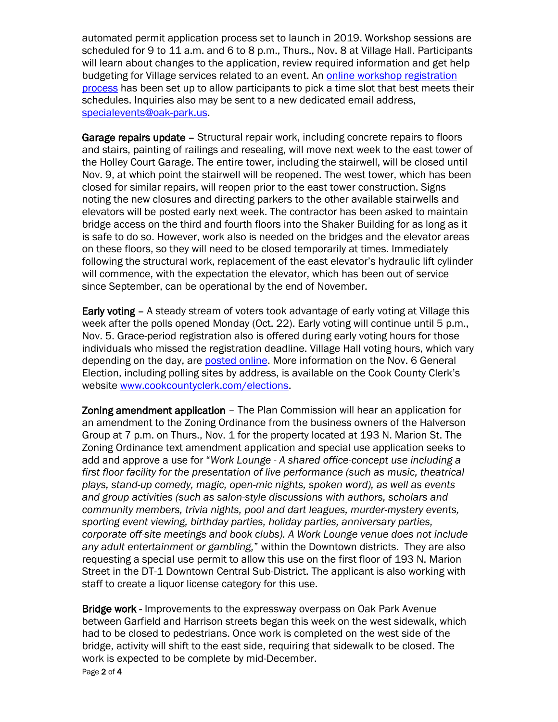automated permit application process set to launch in 2019. Workshop sessions are scheduled for 9 to 11 a.m. and 6 to 8 p.m., Thurs., Nov. 8 at Village Hall. Participants will learn about changes to the application, review required information and get help budgeting for Village services related to an event. An online workshop registration [process](https://doodle.com/poll/ur9y8xuzk9dsywkc) has been set up to allow participants to pick a time slot that best meets their schedules. Inquiries also may be sent to a new dedicated email address, [specialevents@oak-park.us.](mailto:specialevents@oak-park.us)

Garage repairs update – Structural repair work, including concrete repairs to floors and stairs, painting of railings and resealing, will move next week to the east tower of the Holley Court Garage. The entire tower, including the stairwell, will be closed until Nov. 9, at which point the stairwell will be reopened. The west tower, which has been closed for similar repairs, will reopen prior to the east tower construction. Signs noting the new closures and directing parkers to the other available stairwells and elevators will be posted early next week. The contractor has been asked to maintain bridge access on the third and fourth floors into the Shaker Building for as long as it is safe to do so. However, work also is needed on the bridges and the elevator areas on these floors, so they will need to be closed temporarily at times. Immediately following the structural work, replacement of the east elevator's hydraulic lift cylinder will commence, with the expectation the elevator, which has been out of service since September, can be operational by the end of November.

Early voting - A steady stream of voters took advantage of early voting at Village this week after the polls opened Monday (Oct. 22). Early voting will continue until 5 p.m., Nov. 5. Grace-period registration also is offered during early voting hours for those individuals who missed the registration deadline. Village Hall voting hours, which vary depending on the day, are [posted online.](https://www.oak-park.us/news/early-voting-starts-oct-22-village-hall) More information on the Nov. 6 General Election, including polling sites by address, is available on the Cook County Clerk's website [www.cookcountyclerk.com/elections.](http://www.cookcountyclerk.com/elections)

Zoning amendment application – The Plan Commission will hear an application for an amendment to the Zoning Ordinance from the business owners of the Halverson Group at 7 p.m. on Thurs., Nov. 1 for the property located at 193 N. Marion St. The Zoning Ordinance text amendment application and special use application seeks to add and approve a use for "*Work Lounge - A shared office-concept use including a first floor facility for the presentation of live performance (such as music, theatrical plays, stand-up comedy, magic, open-mic nights, spoken word), as well as events and group activities (such as salon-style discussions with authors, scholars and community members, trivia nights, pool and dart leagues, murder-mystery events, sporting event viewing, birthday parties, holiday parties, anniversary parties, corporate off-site meetings and book clubs). A Work Lounge venue does not include any adult entertainment or gambling,*" within the Downtown districts. They are also requesting a special use permit to allow this use on the first floor of 193 N. Marion Street in the DT-1 Downtown Central Sub-District. The applicant is also working with staff to create a liquor license category for this use.

Page 2 of 4 Bridge work - Improvements to the expressway overpass on Oak Park Avenue between Garfield and Harrison streets began this week on the west sidewalk, which had to be closed to pedestrians. Once work is completed on the west side of the bridge, activity will shift to the east side, requiring that sidewalk to be closed. The work is expected to be complete by mid-December.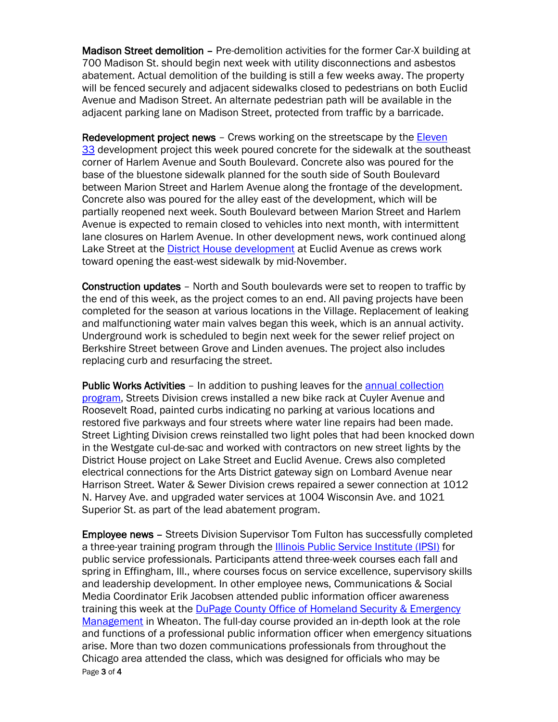Madison Street demolition – Pre-demolition activities for the former Car-X building at 700 Madison St. should begin next week with utility disconnections and asbestos abatement. Actual demolition of the building is still a few weeks away. The property will be fenced securely and adjacent sidewalks closed to pedestrians on both Euclid Avenue and Madison Street. An alternate pedestrian path will be available in the adjacent parking lane on Madison Street, protected from traffic by a barricade.

Redevelopment project news – Crews working on the streetscape by the [Eleven](https://oakparkeconomicdevelopmentcorporation.org/portfolio/lincoln-property-co-development/)  [33](https://oakparkeconomicdevelopmentcorporation.org/portfolio/lincoln-property-co-development/) development project this week poured concrete for the sidewalk at the southeast corner of Harlem Avenue and South Boulevard. Concrete also was poured for the base of the bluestone sidewalk planned for the south side of South Boulevard between Marion Street and Harlem Avenue along the frontage of the development. Concrete also was poured for the alley east of the development, which will be partially reopened next week. South Boulevard between Marion Street and Harlem Avenue is expected to remain closed to vehicles into next month, with intermittent lane closures on Harlem Avenue. In other development news, work continued along Lake Street at the **[District House development](https://oakparkeconomicdevelopmentcorporation.org/portfolio/district-house/)** at Euclid Avenue as crews work toward opening the east-west sidewalk by mid-November.

Construction updates – North and South boulevards were set to reopen to traffic by the end of this week, as the project comes to an end. All paving projects have been completed for the season at various locations in the Village. Replacement of leaking and malfunctioning water main valves began this week, which is an annual activity. Underground work is scheduled to begin next week for the sewer relief project on Berkshire Street between Grove and Linden avenues. The project also includes replacing curb and resurfacing the street.

Public Works Activities – In addition to pushing leaves for the [annual collection](https://www.oak-park.us/news/fall-leaf-collection-gets-underway)  [program,](https://www.oak-park.us/news/fall-leaf-collection-gets-underway) Streets Division crews installed a new bike rack at Cuyler Avenue and Roosevelt Road, painted curbs indicating no parking at various locations and restored five parkways and four streets where water line repairs had been made. Street Lighting Division crews reinstalled two light poles that had been knocked down in the Westgate cul-de-sac and worked with contractors on new street lights by the District House project on Lake Street and Euclid Avenue. Crews also completed electrical connections for the Arts District gateway sign on Lombard Avenue near Harrison Street. Water & Sewer Division crews repaired a sewer connection at 1012 N. Harvey Ave. and upgraded water services at 1004 Wisconsin Ave. and 1021 Superior St. as part of the lead abatement program.

Page 3 of 4 Employee news – Streets Division Supervisor Tom Fulton has successfully completed a three-year training program through the **Illinois Public Service Institute (IPSI)** for public service professionals. Participants attend three-week courses each fall and spring in Effingham, Ill., where courses focus on service excellence, supervisory skills and leadership development. In other employee news, Communications & Social Media Coordinator Erik Jacobsen attended public information officer awareness training this week at the [DuPage County Office of Homeland Security & Emergency](https://www.dupageco.org/oem/)  [Management](https://www.dupageco.org/oem/) in Wheaton. The full-day course provided an in-depth look at the role and functions of a professional public information officer when emergency situations arise. More than two dozen communications professionals from throughout the Chicago area attended the class, which was designed for officials who may be